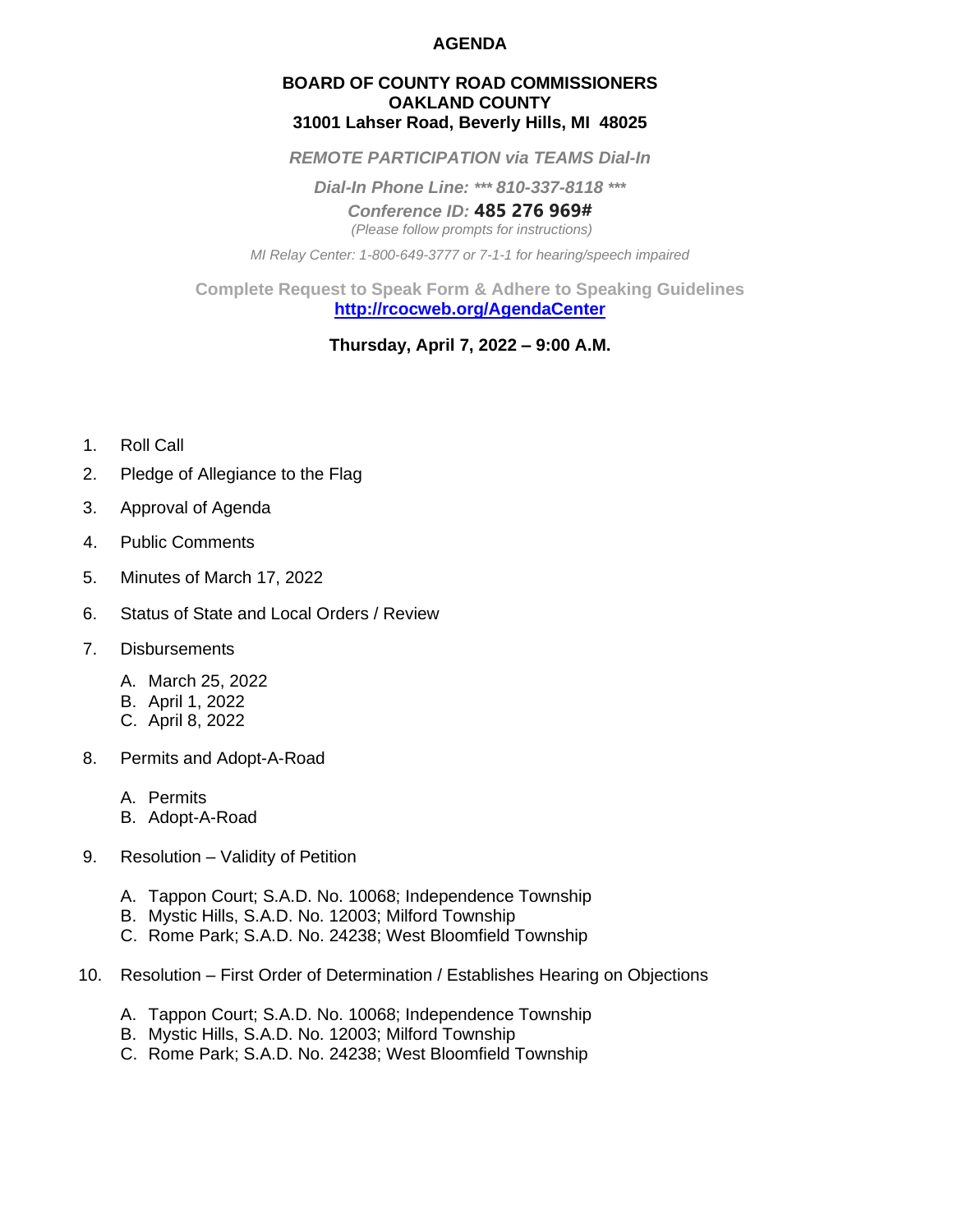### **AGENDA**

#### **BOARD OF COUNTY ROAD COMMISSIONERS OAKLAND COUNTY 31001 Lahser Road, Beverly Hills, MI 48025**

*REMOTE PARTICIPATION via TEAMS Dial-In*

*Dial-In Phone Line: \*\*\* 810-337-8118 \*\*\**

*Conference ID:* **485 276 969#**

*(Please follow prompts for instructions)*

*MI Relay Center: 1-800-649-3777 or 7-1-1 for hearing/speech impaired*

**Complete Request to Speak Form & Adhere to Speaking Guidelines <http://rcocweb.org/AgendaCenter>**

# **Thursday, April 7, 2022 – 9:00 A.M.**

- 1. Roll Call
- 2. Pledge of Allegiance to the Flag
- 3. Approval of Agenda
- 4. Public Comments
- 5. Minutes of March 17, 2022
- 6. Status of State and Local Orders / Review
- 7. Disbursements
	- A. March 25, 2022
	- B. April 1, 2022
	- C. April 8, 2022
- 8. Permits and Adopt-A-Road
	- A. Permits
	- B. Adopt-A-Road
- 9. Resolution Validity of Petition
	- A. Tappon Court; S.A.D. No. 10068; Independence Township
	- B. Mystic Hills, S.A.D. No. 12003; Milford Township
	- C. Rome Park; S.A.D. No. 24238; West Bloomfield Township
- 10. Resolution First Order of Determination / Establishes Hearing on Objections
	- A. Tappon Court; S.A.D. No. 10068; Independence Township
	- B. Mystic Hills, S.A.D. No. 12003; Milford Township
	- C. Rome Park; S.A.D. No. 24238; West Bloomfield Township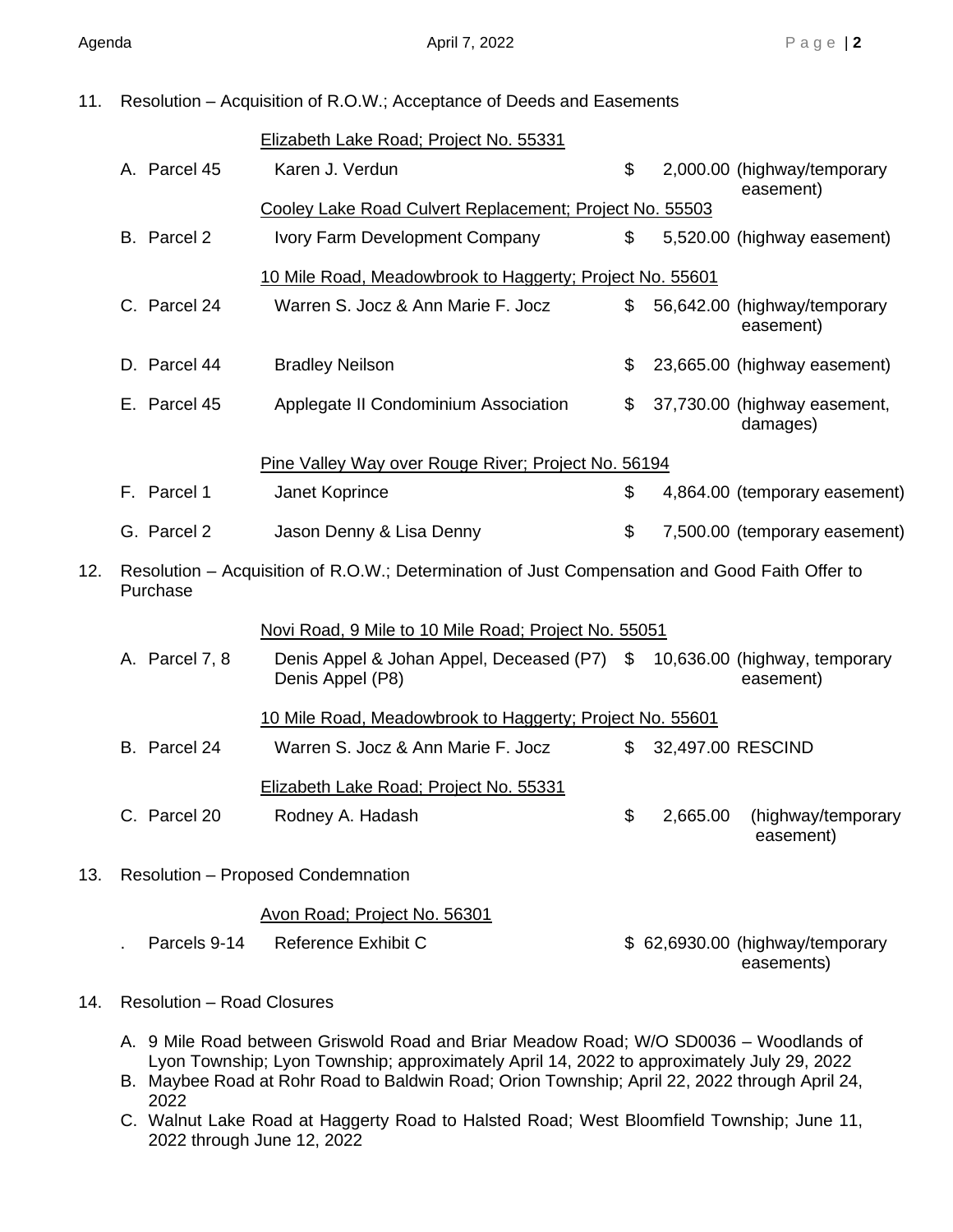11. Resolution – Acquisition of R.O.W.; Acceptance of Deeds and Easements

|     |                                                                                                            |                | Elizabeth Lake Road; Project No. 55331                          |    |                   |                                            |
|-----|------------------------------------------------------------------------------------------------------------|----------------|-----------------------------------------------------------------|----|-------------------|--------------------------------------------|
|     |                                                                                                            | A. Parcel 45   | Karen J. Verdun                                                 | \$ |                   | 2,000.00 (highway/temporary<br>easement)   |
|     | Cooley Lake Road Culvert Replacement; Project No. 55503                                                    |                |                                                                 |    |                   |                                            |
|     |                                                                                                            | B. Parcel 2    | Ivory Farm Development Company                                  | \$ |                   | 5,520.00 (highway easement)                |
|     | 10 Mile Road, Meadowbrook to Haggerty; Project No. 55601                                                   |                |                                                                 |    |                   |                                            |
|     |                                                                                                            | C. Parcel 24   | Warren S. Jocz & Ann Marie F. Jocz                              | \$ |                   | 56,642.00 (highway/temporary<br>easement)  |
|     |                                                                                                            | D. Parcel 44   | <b>Bradley Neilson</b>                                          | \$ |                   | 23,665.00 (highway easement)               |
|     |                                                                                                            | E. Parcel 45   | Applegate II Condominium Association                            | \$ |                   | 37,730.00 (highway easement,<br>damages)   |
|     | Pine Valley Way over Rouge River; Project No. 56194                                                        |                |                                                                 |    |                   |                                            |
|     |                                                                                                            | F. Parcel 1    | Janet Koprince                                                  | \$ |                   | 4,864.00 (temporary easement)              |
|     |                                                                                                            | G. Parcel 2    | Jason Denny & Lisa Denny                                        | \$ |                   | 7,500.00 (temporary easement)              |
| 12. | Resolution - Acquisition of R.O.W.; Determination of Just Compensation and Good Faith Offer to<br>Purchase |                |                                                                 |    |                   |                                            |
|     |                                                                                                            |                | Novi Road, 9 Mile to 10 Mile Road; Project No. 55051            |    |                   |                                            |
|     |                                                                                                            | A. Parcel 7, 8 | Denis Appel & Johan Appel, Deceased (P7) \$<br>Denis Appel (P8) |    |                   | 10,636.00 (highway, temporary<br>easement) |
|     |                                                                                                            |                | 10 Mile Road, Meadowbrook to Haggerty; Project No. 55601        |    |                   |                                            |
|     |                                                                                                            | B. Parcel 24   | Warren S. Jocz & Ann Marie F. Jocz                              | \$ | 32,497.00 RESCIND |                                            |
|     |                                                                                                            |                | Elizabeth Lake Road; Project No. 55331                          |    |                   |                                            |
|     |                                                                                                            | C. Parcel 20   | Rodney A. Hadash                                                | \$ | 2,665.00          | (highway/temporary<br>easement)            |
| 13. |                                                                                                            |                | Resolution - Proposed Condemnation                              |    |                   |                                            |

Avon Road; Project No. 56301

. Parcels 9-14 Reference Exhibit C  $$62,6930.00$  (highway/temporary

easements)

- 14. Resolution Road Closures
	- A. 9 Mile Road between Griswold Road and Briar Meadow Road; W/O SD0036 Woodlands of Lyon Township; Lyon Township; approximately April 14, 2022 to approximately July 29, 2022
	- B. Maybee Road at Rohr Road to Baldwin Road; Orion Township; April 22, 2022 through April 24, 2022
	- C. Walnut Lake Road at Haggerty Road to Halsted Road; West Bloomfield Township; June 11, 2022 through June 12, 2022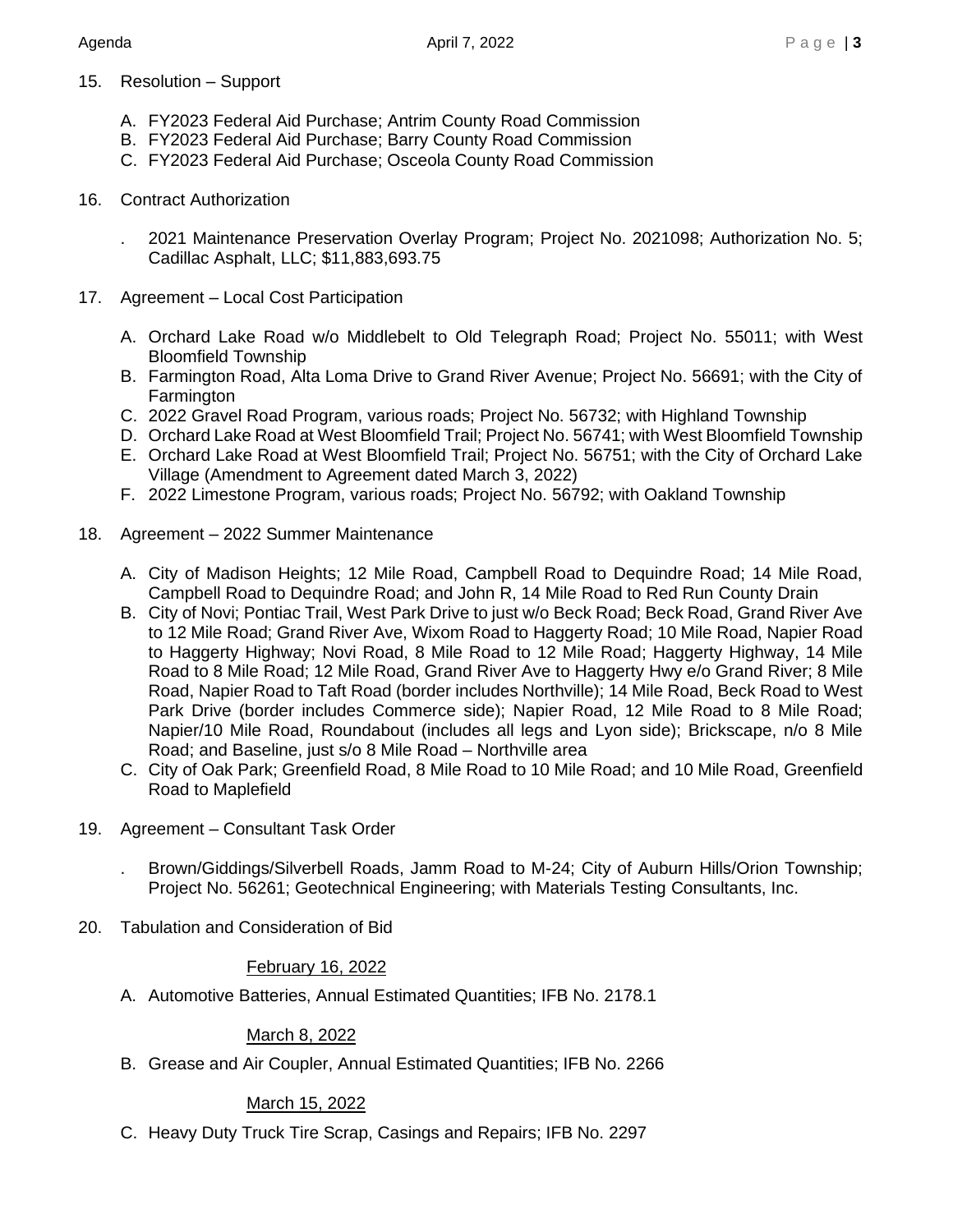- 15. Resolution Support
	- A. FY2023 Federal Aid Purchase; Antrim County Road Commission
	- B. FY2023 Federal Aid Purchase; Barry County Road Commission
	- C. FY2023 Federal Aid Purchase; Osceola County Road Commission
- 16. Contract Authorization
	- . 2021 Maintenance Preservation Overlay Program; Project No. 2021098; Authorization No. 5; Cadillac Asphalt, LLC; \$11,883,693.75
- 17. Agreement Local Cost Participation
	- A. Orchard Lake Road w/o Middlebelt to Old Telegraph Road; Project No. 55011; with West Bloomfield Township
	- B. Farmington Road, Alta Loma Drive to Grand River Avenue; Project No. 56691; with the City of **Farmington**
	- C. 2022 Gravel Road Program, various roads; Project No. 56732; with Highland Township
	- D. Orchard Lake Road at West Bloomfield Trail; Project No. 56741; with West Bloomfield Township
	- E. Orchard Lake Road at West Bloomfield Trail; Project No. 56751; with the City of Orchard Lake Village (Amendment to Agreement dated March 3, 2022)
	- F. 2022 Limestone Program, various roads; Project No. 56792; with Oakland Township
- 18. Agreement 2022 Summer Maintenance
	- A. City of Madison Heights; 12 Mile Road, Campbell Road to Dequindre Road; 14 Mile Road, Campbell Road to Dequindre Road; and John R, 14 Mile Road to Red Run County Drain
	- B. City of Novi; Pontiac Trail, West Park Drive to just w/o Beck Road; Beck Road, Grand River Ave to 12 Mile Road; Grand River Ave, Wixom Road to Haggerty Road; 10 Mile Road, Napier Road to Haggerty Highway; Novi Road, 8 Mile Road to 12 Mile Road; Haggerty Highway, 14 Mile Road to 8 Mile Road; 12 Mile Road, Grand River Ave to Haggerty Hwy e/o Grand River; 8 Mile Road, Napier Road to Taft Road (border includes Northville); 14 Mile Road, Beck Road to West Park Drive (border includes Commerce side); Napier Road, 12 Mile Road to 8 Mile Road; Napier/10 Mile Road, Roundabout (includes all legs and Lyon side); Brickscape, n/o 8 Mile Road; and Baseline, just s/o 8 Mile Road – Northville area
	- C. City of Oak Park; Greenfield Road, 8 Mile Road to 10 Mile Road; and 10 Mile Road, Greenfield Road to Maplefield
- 19. Agreement Consultant Task Order

. Brown/Giddings/Silverbell Roads, Jamm Road to M-24; City of Auburn Hills/Orion Township; Project No. 56261; Geotechnical Engineering; with Materials Testing Consultants, Inc.

20. Tabulation and Consideration of Bid

#### February 16, 2022

A. Automotive Batteries, Annual Estimated Quantities; IFB No. 2178.1

## March 8, 2022

B. Grease and Air Coupler, Annual Estimated Quantities; IFB No. 2266

## March 15, 2022

C. Heavy Duty Truck Tire Scrap, Casings and Repairs; IFB No. 2297